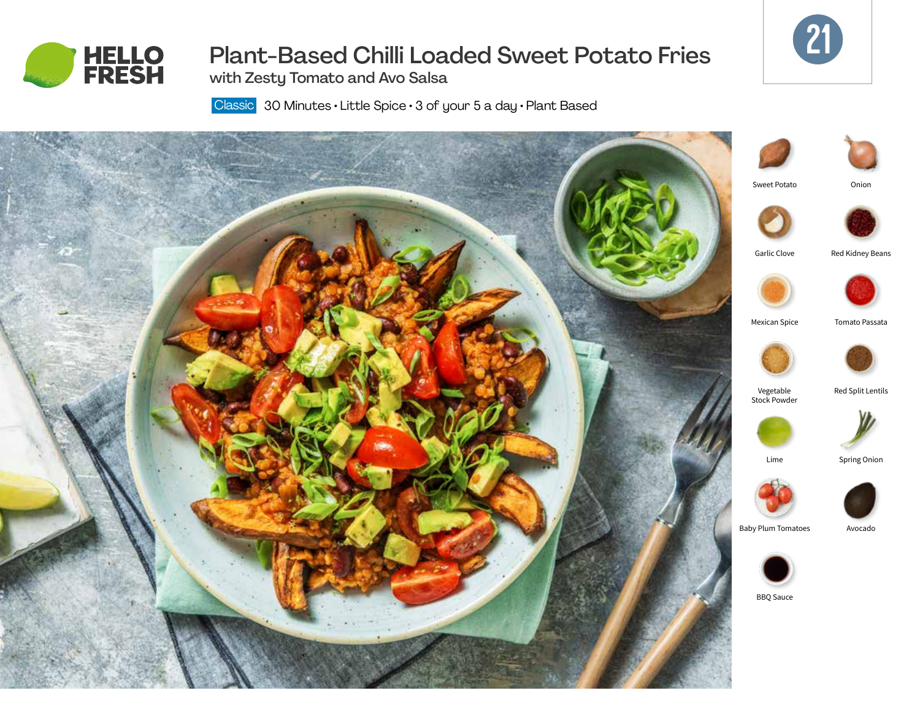



# Plant-Based Chilli Loaded Sweet Potato Fries

with Zesty Tomato and Avo Salsa

Classic 30 Minutes · Little Spice · 3 of your 5 a day · Plant Based